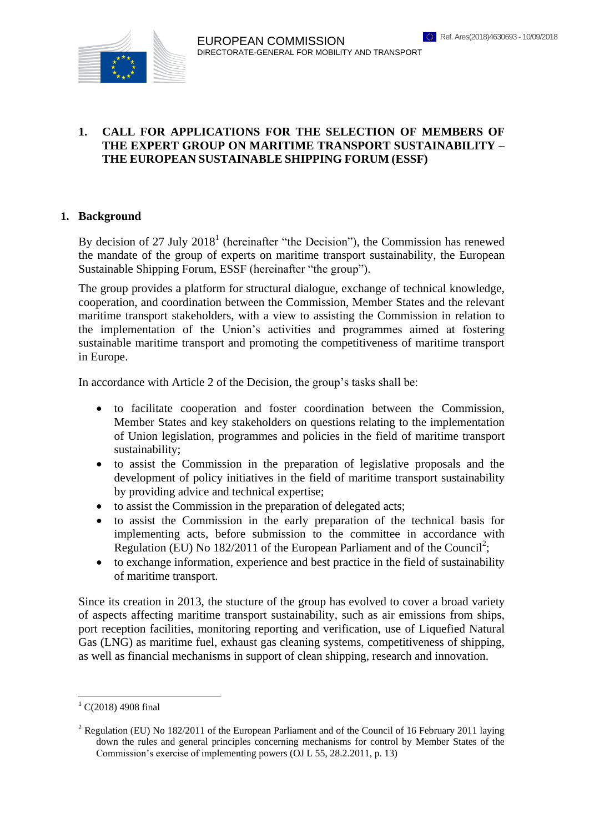

### **1. CALL FOR APPLICATIONS FOR THE SELECTION OF MEMBERS OF THE EXPERT GROUP ON MARITIME TRANSPORT SUSTAINABILITY – THE EUROPEAN SUSTAINABLE SHIPPING FORUM (ESSF)**

#### **1. Background**

By decision of 27 July  $2018<sup>1</sup>$  (hereinafter "the Decision"), the Commission has renewed the mandate of the group of experts on maritime transport sustainability, the European Sustainable Shipping Forum, ESSF (hereinafter "the group").

The group provides a platform for structural dialogue, exchange of technical knowledge, cooperation, and coordination between the Commission, Member States and the relevant maritime transport stakeholders, with a view to assisting the Commission in relation to the implementation of the Union's activities and programmes aimed at fostering sustainable maritime transport and promoting the competitiveness of maritime transport in Europe.

In accordance with Article 2 of the Decision, the group's tasks shall be:

- to facilitate cooperation and foster coordination between the Commission, Member States and key stakeholders on questions relating to the implementation of Union legislation, programmes and policies in the field of maritime transport sustainability;
- to assist the Commission in the preparation of legislative proposals and the development of policy initiatives in the field of maritime transport sustainability by providing advice and technical expertise;
- to assist the Commission in the preparation of delegated acts;
- to assist the Commission in the early preparation of the technical basis for implementing acts, before submission to the committee in accordance with Regulation (EU) No 182/2011 of the European Parliament and of the Council<sup>2</sup>;
- to exchange information, experience and best practice in the field of sustainability of maritime transport.

Since its creation in 2013, the stucture of the group has evolved to cover a broad variety of aspects affecting maritime transport sustainability, such as air emissions from ships, port reception facilities, monitoring reporting and verification, use of Liquefied Natural Gas (LNG) as maritime fuel, exhaust gas cleaning systems, competitiveness of shipping, as well as financial mechanisms in support of clean shipping, research and innovation.

 $\overline{a}$ 

 $1 \text{ C}(2018)$  4908 final

<sup>&</sup>lt;sup>2</sup> Regulation (EU) No 182/2011 of the European Parliament and of the Council of 16 February 2011 laying down the rules and general principles concerning mechanisms for control by Member States of the Commission's exercise of implementing powers (OJ L 55, 28.2.2011, p. 13)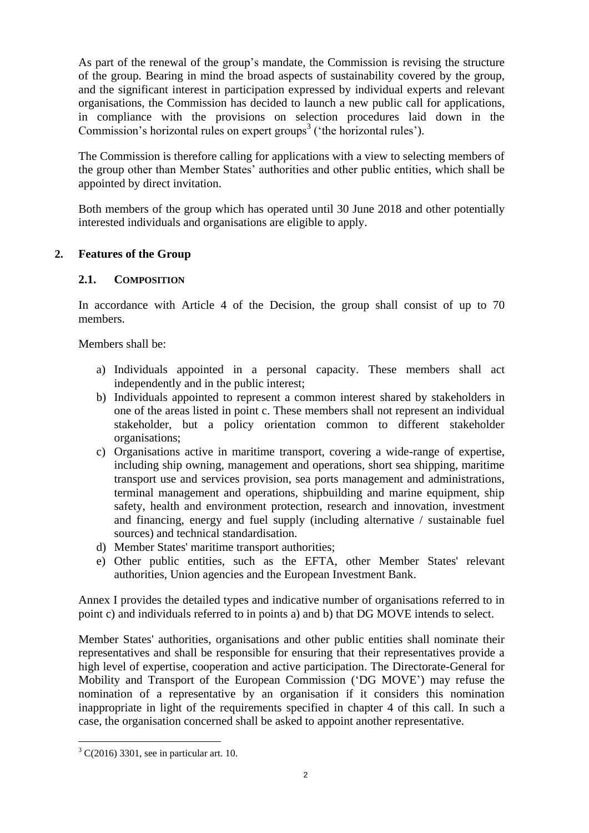As part of the renewal of the group's mandate, the Commission is revising the structure of the group. Bearing in mind the broad aspects of sustainability covered by the group, and the significant interest in participation expressed by individual experts and relevant organisations, the Commission has decided to launch a new public call for applications, in compliance with the provisions on selection procedures laid down in the Commission's horizontal rules on expert groups<sup>3</sup> ('the horizontal rules').

The Commission is therefore calling for applications with a view to selecting members of the group other than Member States' authorities and other public entities, which shall be appointed by direct invitation.

Both members of the group which has operated until 30 June 2018 and other potentially interested individuals and organisations are eligible to apply.

## **2. Features of the Group**

### **2.1. COMPOSITION**

In accordance with Article 4 of the Decision, the group shall consist of up to 70 members.

Members shall be:

- a) Individuals appointed in a personal capacity. These members shall act independently and in the public interest;
- b) Individuals appointed to represent a common interest shared by stakeholders in one of the areas listed in point c. These members shall not represent an individual stakeholder, but a policy orientation common to different stakeholder organisations;
- c) Organisations active in maritime transport, covering a wide-range of expertise, including ship owning, management and operations, short sea shipping, maritime transport use and services provision, sea ports management and administrations, terminal management and operations, shipbuilding and marine equipment, ship safety, health and environment protection, research and innovation, investment and financing, energy and fuel supply (including alternative / sustainable fuel sources) and technical standardisation.
- d) Member States' maritime transport authorities;
- e) Other public entities, such as the EFTA, other Member States' relevant authorities, Union agencies and the European Investment Bank.

Annex I provides the detailed types and indicative number of organisations referred to in point c) and individuals referred to in points a) and b) that DG MOVE intends to select.

Member States' authorities, organisations and other public entities shall nominate their representatives and shall be responsible for ensuring that their representatives provide a high level of expertise, cooperation and active participation. The Directorate-General for Mobility and Transport of the European Commission ('DG MOVE') may refuse the nomination of a representative by an organisation if it considers this nomination inappropriate in light of the requirements specified in chapter 4 of this call. In such a case, the organisation concerned shall be asked to appoint another representative.

 $\overline{a}$ 

 $3 \text{ C}(2016)$  3301, see in particular art. 10.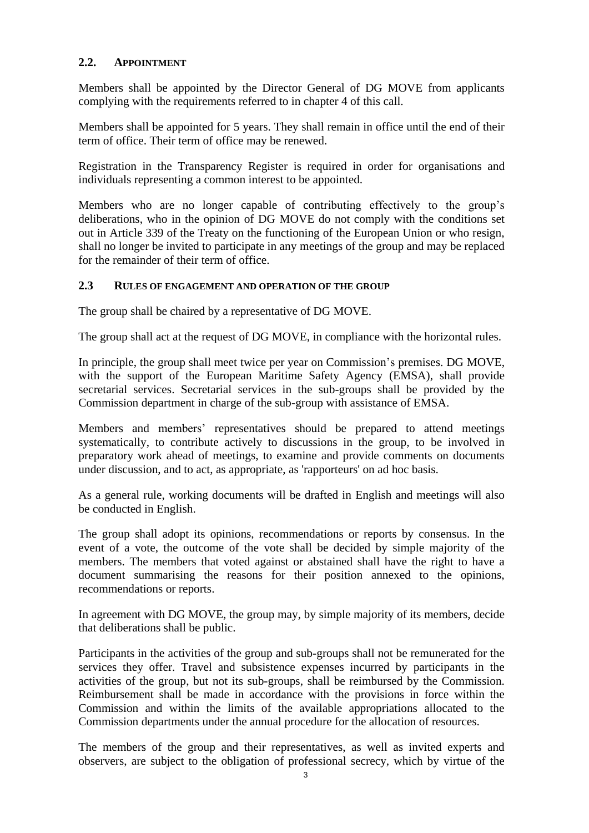## **2.2. APPOINTMENT**

Members shall be appointed by the Director General of DG MOVE from applicants complying with the requirements referred to in chapter 4 of this call.

Members shall be appointed for 5 years. They shall remain in office until the end of their term of office. Their term of office may be renewed.

Registration in the Transparency Register is required in order for organisations and individuals representing a common interest to be appointed.

Members who are no longer capable of contributing effectively to the group's deliberations, who in the opinion of DG MOVE do not comply with the conditions set out in Article 339 of the Treaty on the functioning of the European Union or who resign, shall no longer be invited to participate in any meetings of the group and may be replaced for the remainder of their term of office.

#### **2.3 RULES OF ENGAGEMENT AND OPERATION OF THE GROUP**

The group shall be chaired by a representative of DG MOVE.

The group shall act at the request of DG MOVE, in compliance with the horizontal rules.

In principle, the group shall meet twice per year on Commission's premises. DG MOVE, with the support of the European Maritime Safety Agency (EMSA), shall provide secretarial services. Secretarial services in the sub-groups shall be provided by the Commission department in charge of the sub-group with assistance of EMSA.

Members and members' representatives should be prepared to attend meetings systematically, to contribute actively to discussions in the group, to be involved in preparatory work ahead of meetings, to examine and provide comments on documents under discussion, and to act, as appropriate, as 'rapporteurs' on ad hoc basis.

As a general rule, working documents will be drafted in English and meetings will also be conducted in English.

The group shall adopt its opinions, recommendations or reports by consensus. In the event of a vote, the outcome of the vote shall be decided by simple majority of the members. The members that voted against or abstained shall have the right to have a document summarising the reasons for their position annexed to the opinions, recommendations or reports.

In agreement with DG MOVE, the group may, by simple majority of its members, decide that deliberations shall be public.

Participants in the activities of the group and sub-groups shall not be remunerated for the services they offer. Travel and subsistence expenses incurred by participants in the activities of the group, but not its sub-groups, shall be reimbursed by the Commission. Reimbursement shall be made in accordance with the provisions in force within the Commission and within the limits of the available appropriations allocated to the Commission departments under the annual procedure for the allocation of resources.

The members of the group and their representatives, as well as invited experts and observers, are subject to the obligation of professional secrecy, which by virtue of the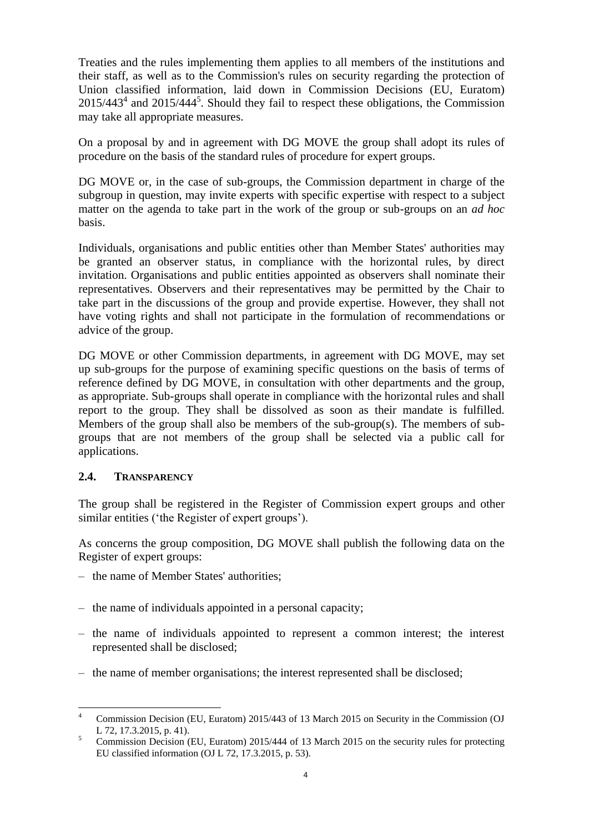Treaties and the rules implementing them applies to all members of the institutions and their staff, as well as to the Commission's rules on security regarding the protection of Union classified information, laid down in Commission Decisions (EU, Euratom)  $2015/443<sup>4</sup>$  and  $2015/444<sup>5</sup>$ . Should they fail to respect these obligations, the Commission may take all appropriate measures.

On a proposal by and in agreement with DG MOVE the group shall adopt its rules of procedure on the basis of the standard rules of procedure for expert groups.

DG MOVE or, in the case of sub-groups, the Commission department in charge of the subgroup in question, may invite experts with specific expertise with respect to a subject matter on the agenda to take part in the work of the group or sub-groups on an *ad hoc* basis.

Individuals, organisations and public entities other than Member States' authorities may be granted an observer status, in compliance with the horizontal rules, by direct invitation. Organisations and public entities appointed as observers shall nominate their representatives. Observers and their representatives may be permitted by the Chair to take part in the discussions of the group and provide expertise. However, they shall not have voting rights and shall not participate in the formulation of recommendations or advice of the group.

DG MOVE or other Commission departments, in agreement with DG MOVE, may set up sub-groups for the purpose of examining specific questions on the basis of terms of reference defined by DG MOVE, in consultation with other departments and the group, as appropriate. Sub-groups shall operate in compliance with the horizontal rules and shall report to the group. They shall be dissolved as soon as their mandate is fulfilled. Members of the group shall also be members of the sub-group(s). The members of subgroups that are not members of the group shall be selected via a public call for applications.

#### **2.4. TRANSPARENCY**

The group shall be registered in the Register of Commission expert groups and other similar entities ('the Register of expert groups').

As concerns the group composition, DG MOVE shall publish the following data on the Register of expert groups:

- the name of Member States' authorities;
- the name of individuals appointed in a personal capacity;
- the name of individuals appointed to represent a common interest; the interest represented shall be disclosed;
- the name of member organisations; the interest represented shall be disclosed;

 $\overline{4}$ <sup>4</sup> Commission Decision (EU, Euratom) 2015/443 of 13 March 2015 on Security in the Commission (OJ L 72, 17.3.2015, p. 41).

<sup>&</sup>lt;sup>5</sup> Commission Decision (EU, Euratom) 2015/444 of 13 March 2015 on the security rules for protecting EU classified information (OJ L 72, 17.3.2015, p. 53).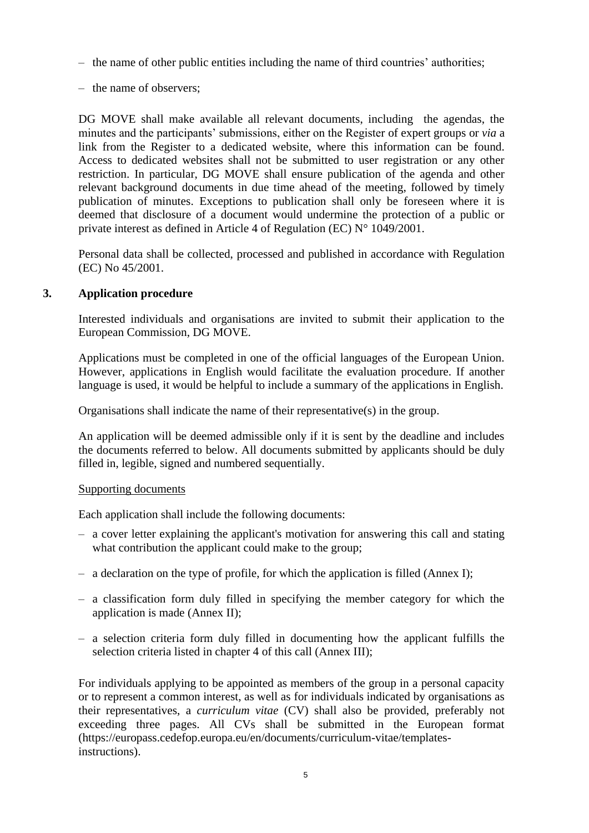- the name of other public entities including the name of third countries' authorities;
- the name of observers;

DG MOVE shall make available all relevant documents, including the agendas, the minutes and the participants' submissions, either on the Register of expert groups or *via* a link from the Register to a dedicated website, where this information can be found. Access to dedicated websites shall not be submitted to user registration or any other restriction. In particular, DG MOVE shall ensure publication of the agenda and other relevant background documents in due time ahead of the meeting, followed by timely publication of minutes. Exceptions to publication shall only be foreseen where it is deemed that disclosure of a document would undermine the protection of a public or private interest as defined in Article 4 of Regulation (EC) N° 1049/2001.

Personal data shall be collected, processed and published in accordance with Regulation (EC) No 45/2001.

### **3. Application procedure**

Interested individuals and organisations are invited to submit their application to the European Commission, DG MOVE.

Applications must be completed in one of the official languages of the European Union. However, applications in English would facilitate the evaluation procedure. If another language is used, it would be helpful to include a summary of the applications in English.

Organisations shall indicate the name of their representative(s) in the group.

An application will be deemed admissible only if it is sent by the deadline and includes the documents referred to below. All documents submitted by applicants should be duly filled in, legible, signed and numbered sequentially.

#### Supporting documents

Each application shall include the following documents:

- a cover letter explaining the applicant's motivation for answering this call and stating what contribution the applicant could make to the group;
- a declaration on the type of profile, for which the application is filled (Annex I);
- a classification form duly filled in specifying the member category for which the application is made (Annex II);
- a selection criteria form duly filled in documenting how the applicant fulfills the selection criteria listed in chapter 4 of this call (Annex III);

For individuals applying to be appointed as members of the group in a personal capacity or to represent a common interest, as well as for individuals indicated by organisations as their representatives, a *curriculum vitae* (CV) shall also be provided, preferably not exceeding three pages. All CVs shall be submitted in the European format (https://europass.cedefop.europa.eu/en/documents/curriculum-vitae/templatesinstructions).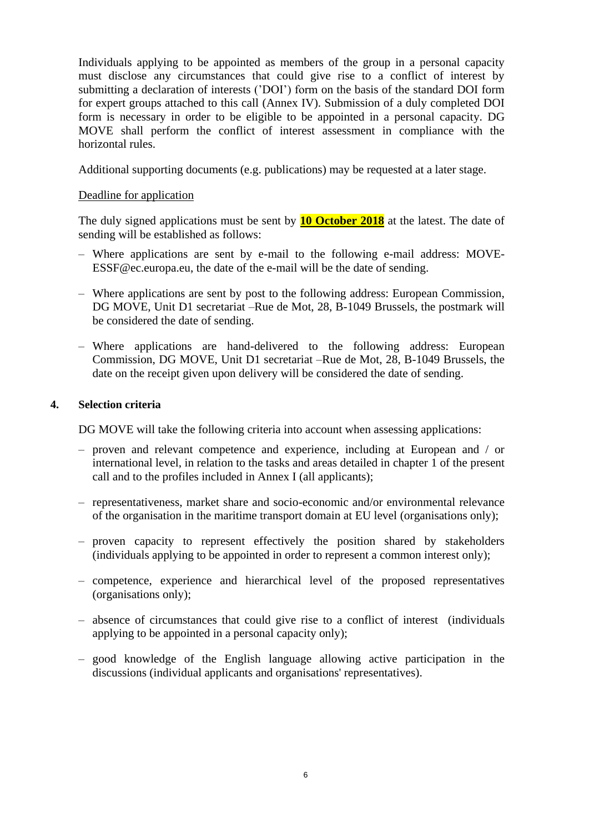Individuals applying to be appointed as members of the group in a personal capacity must disclose any circumstances that could give rise to a conflict of interest by submitting a declaration of interests ('DOI') form on the basis of the standard DOI form for expert groups attached to this call (Annex IV). Submission of a duly completed DOI form is necessary in order to be eligible to be appointed in a personal capacity. DG MOVE shall perform the conflict of interest assessment in compliance with the horizontal rules.

Additional supporting documents (e.g. publications) may be requested at a later stage.

### Deadline for application

The duly signed applications must be sent by **10 October 2018** at the latest. The date of sending will be established as follows:

- Where applications are sent by e-mail to the following e-mail address: MOVE-ESSF@ec.europa.eu, the date of the e-mail will be the date of sending.
- Where applications are sent by post to the following address: European Commission, DG MOVE, Unit D1 secretariat –Rue de Mot, 28, B-1049 Brussels, the postmark will be considered the date of sending.
- Where applications are hand-delivered to the following address: European Commission, DG MOVE, Unit D1 secretariat –Rue de Mot, 28, B-1049 Brussels, the date on the receipt given upon delivery will be considered the date of sending.

### **4. Selection criteria**

DG MOVE will take the following criteria into account when assessing applications:

- proven and relevant competence and experience, including at European and / or international level, in relation to the tasks and areas detailed in chapter 1 of the present call and to the profiles included in Annex I (all applicants);
- representativeness, market share and socio-economic and/or environmental relevance of the organisation in the maritime transport domain at EU level (organisations only);
- proven capacity to represent effectively the position shared by stakeholders (individuals applying to be appointed in order to represent a common interest only);
- competence, experience and hierarchical level of the proposed representatives (organisations only);
- absence of circumstances that could give rise to a conflict of interest (individuals applying to be appointed in a personal capacity only);
- good knowledge of the English language allowing active participation in the discussions (individual applicants and organisations' representatives).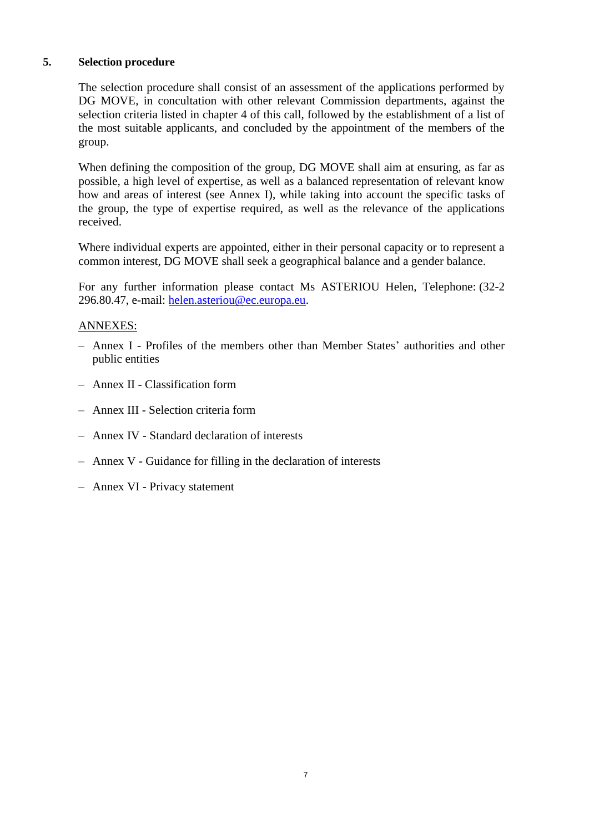### **5. Selection procedure**

The selection procedure shall consist of an assessment of the applications performed by DG MOVE, in concultation with other relevant Commission departments, against the selection criteria listed in chapter 4 of this call, followed by the establishment of a list of the most suitable applicants, and concluded by the appointment of the members of the group.

When defining the composition of the group, DG MOVE shall aim at ensuring, as far as possible, a high level of expertise, as well as a balanced representation of relevant know how and areas of interest (see Annex I), while taking into account the specific tasks of the group, the type of expertise required, as well as the relevance of the applications received.

Where individual experts are appointed, either in their personal capacity or to represent a common interest, DG MOVE shall seek a geographical balance and a gender balance.

For any further information please contact Ms ASTERIOU Helen, Telephone: (32-2 296.80.47, e-mail: [helen.asteriou@ec.europa.eu.](mailto:helen.asteriou@ec.europa.eu)

#### ANNEXES:

- Annex I Profiles of the members other than Member States' authorities and other public entities
- Annex II Classification form
- Annex III Selection criteria form
- Annex IV Standard declaration of interests
- Annex V Guidance for filling in the declaration of interests
- Annex VI Privacy statement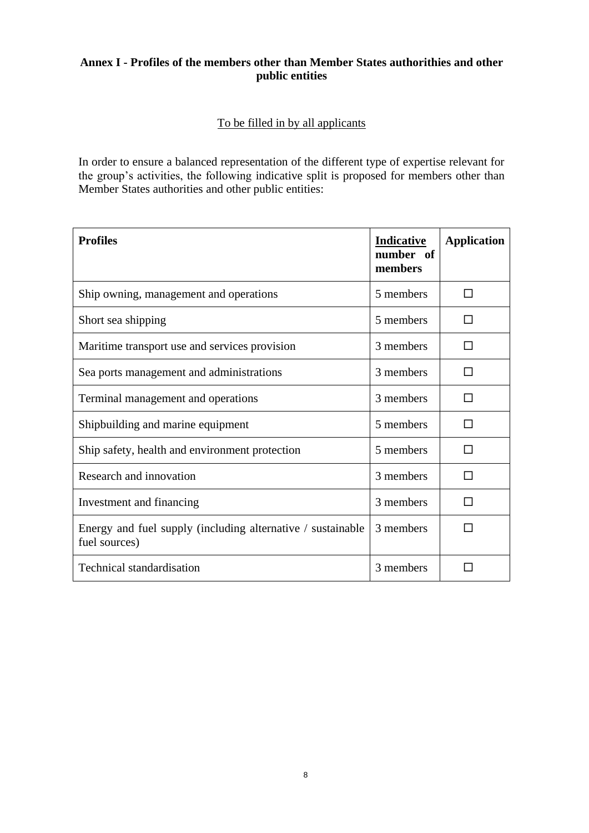# **Annex I - Profiles of the members other than Member States authorithies and other public entities**

# To be filled in by all applicants

In order to ensure a balanced representation of the different type of expertise relevant for the group's activities, the following indicative split is proposed for members other than Member States authorities and other public entities:

| <b>Profiles</b>                                                              | Indicative<br>number of<br>members | <b>Application</b> |
|------------------------------------------------------------------------------|------------------------------------|--------------------|
| Ship owning, management and operations                                       | 5 members                          | п                  |
| Short sea shipping                                                           | 5 members                          | $\mathsf{L}$       |
| Maritime transport use and services provision                                | 3 members                          | H                  |
| Sea ports management and administrations                                     | 3 members                          | П                  |
| Terminal management and operations                                           | 3 members                          | П                  |
| Shipbuilding and marine equipment                                            | 5 members                          | П                  |
| Ship safety, health and environment protection                               | 5 members                          | n                  |
| Research and innovation                                                      | 3 members                          | П                  |
| Investment and financing                                                     | 3 members                          | □                  |
| Energy and fuel supply (including alternative / sustainable<br>fuel sources) | 3 members                          |                    |
| <b>Technical standardisation</b>                                             | 3 members                          |                    |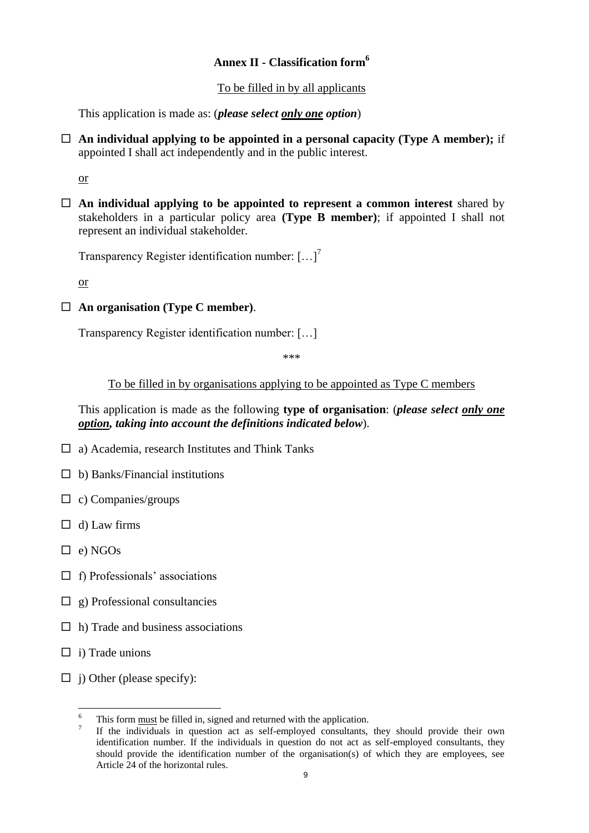# **Annex II - Classification form<sup>6</sup>**

### To be filled in by all applicants

This application is made as: (*please select only one option*)

 **An individual applying to be appointed in a personal capacity (Type A member);** if appointed I shall act independently and in the public interest.

or

 **An individual applying to be appointed to represent a common interest** shared by stakeholders in a particular policy area **(Type B member)**; if appointed I shall not represent an individual stakeholder.

Transparency Register identification number: [...]<sup>7</sup>

or

**An organisation (Type C member)**.

Transparency Register identification number: […]

\*\*\*

To be filled in by organisations applying to be appointed as Type C members

This application is made as the following **type of organisation**: (*please select only one option, taking into account the definitions indicated below*).

- $\Box$  a) Academia, research Institutes and Think Tanks
- $\Box$  b) Banks/Financial institutions
- $\Box$  c) Companies/groups
- $\Box$  d) Law firms
- $\Box$  e) NGOs
- $\Box$  f) Professionals' associations
- $\Box$  g) Professional consultancies
- $\Box$  h) Trade and business associations
- $\Box$  i) Trade unions

 $\overline{a}$ 

 $\Box$  j) Other (please specify):

<sup>6</sup> This form must be filled in, signed and returned with the application.

<sup>7</sup> If the individuals in question act as self-employed consultants, they should provide their own identification number. If the individuals in question do not act as self-employed consultants, they should provide the identification number of the organisation(s) of which they are employees, see Article 24 of the horizontal rules.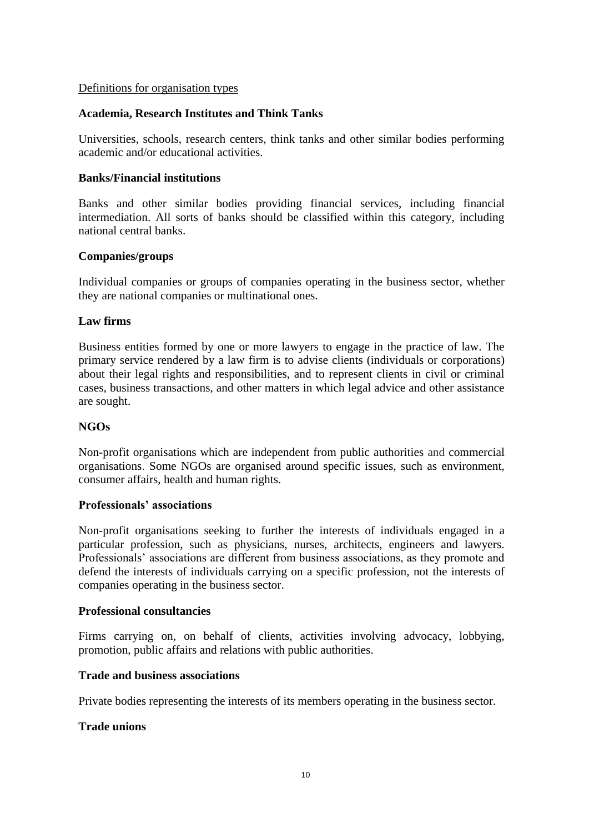#### Definitions for organisation types

#### **Academia, Research Institutes and Think Tanks**

Universities, schools, research centers, think tanks and other similar bodies performing academic and/or educational activities.

#### **Banks/Financial institutions**

Banks and other similar bodies providing financial services, including financial intermediation. All sorts of banks should be classified within this category, including national central banks.

#### **Companies/groups**

Individual companies or groups of companies operating in the business sector, whether they are national companies or multinational ones.

#### **Law firms**

Business entities formed by one or more lawyers to engage in the practice of law. The primary service rendered by a law firm is to advise clients (individuals or corporations) about their legal rights and responsibilities, and to represent clients in civil or criminal cases, business transactions, and other matters in which legal advice and other assistance are sought.

#### **NGOs**

Non-profit organisations which are independent from public authorities and commercial organisations. Some NGOs are organised around specific issues, such as environment, consumer affairs, health and human rights.

#### **Professionals' associations**

Non-profit organisations seeking to further the interests of individuals engaged in a particular profession, such as physicians, nurses, architects, engineers and lawyers. Professionals' associations are different from business associations, as they promote and defend the interests of individuals carrying on a specific profession, not the interests of companies operating in the business sector.

#### **Professional consultancies**

Firms carrying on, on behalf of clients, activities involving advocacy, lobbying, promotion, public affairs and relations with public authorities.

#### **Trade and business associations**

Private bodies representing the interests of its members operating in the business sector.

#### **Trade unions**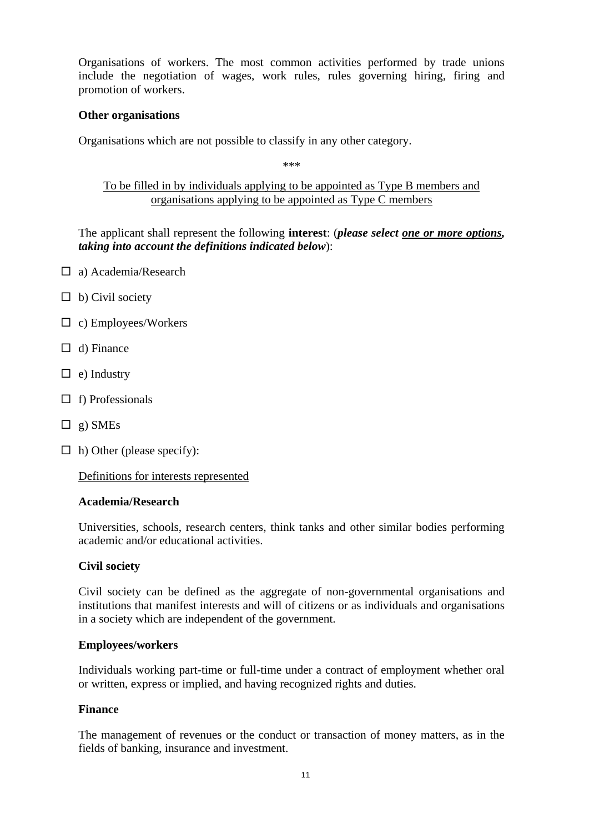Organisations of workers. The most common activities performed by trade unions include the negotiation of [wages,](https://en.wikipedia.org/wiki/Wage) work rules, rules governing hiring, firing and promotion of workers.

#### **Other organisations**

Organisations which are not possible to classify in any other category.

\*\*\*

To be filled in by individuals applying to be appointed as Type B members and organisations applying to be appointed as Type C members

The applicant shall represent the following **interest**: (*please select one or more options, taking into account the definitions indicated below*):

- □ a) Academia/Research
- $\Box$  b) Civil society
- $\Box$  c) Employees/Workers
- $\Box$  d) Finance
- $\Box$  e) Industry
- $\Box$  f) Professionals
- $\Box$  g) SMEs
- $\Box$  h) Other (please specify):

Definitions for interests represented

#### **Academia/Research**

Universities, schools, research centers, think tanks and other similar bodies performing academic and/or educational activities.

#### **Civil society**

Civil society can be defined as the aggregate of non-governmental organisations and institutions that manifest interests and will of citizens or as individuals and organisations in a society which are independent of the government.

#### **Employees/workers**

Individuals working part-time or full-time under a contract of employment whether oral or written, express or implied, and having recognized rights and duties.

#### **Finance**

The management of revenues or the conduct or transaction of money matters, as in the fields of banking, insurance and investment.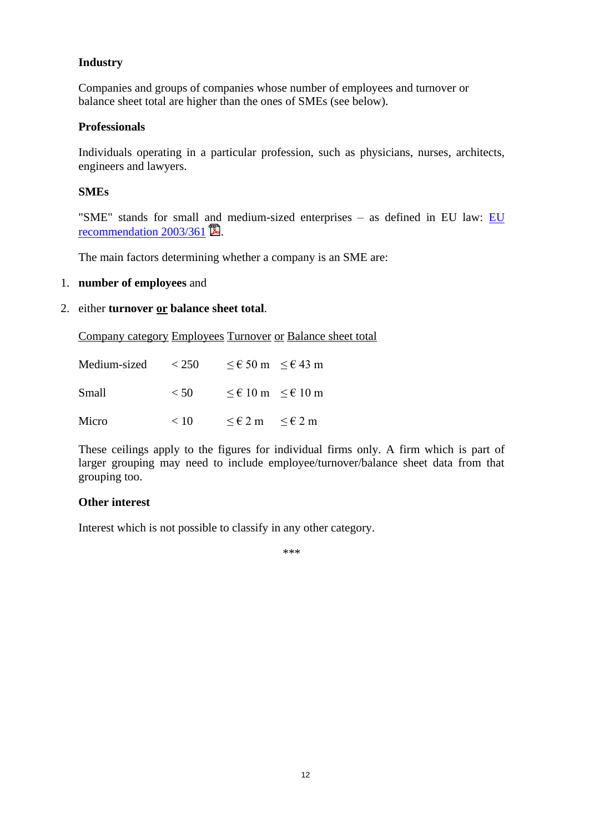## **Industry**

Companies and groups of companies whose number of employees and turnover or balance sheet total are higher than the ones of SMEs (see below).

### **Professionals**

Individuals operating in a particular profession, such as physicians, nurses, architects, engineers and lawyers.

### **SMEs**

"SME" stands for small and medium-sized enterprises – as defined in EU law: [EU](http://eur-lex.europa.eu/LexUriServ/LexUriServ.do?uri=OJ:L:2003:124:0036:0041:EN:PDF)  recommendation  $2003/361$   $\blacksquare$ .

The main factors determining whether a company is an SME are:

#### 1. **number of employees** and

#### 2. either **turnover or balance sheet total**.

Company category Employees Turnover or Balance sheet total

| Medium-sized | < 250 | $\leq$ € 50 m $\leq$ € 43 m               |  |
|--------------|-------|-------------------------------------------|--|
| Small        | < 50  | $\leq \epsilon$ 10 m $\leq \epsilon$ 10 m |  |
| Micro        | < 10  | $\leq \epsilon 2$ m $\leq \epsilon 2$ m   |  |

These ceilings apply to the figures for individual firms only. A firm which is part of larger grouping may need to include employee/turnover/balance sheet data from that grouping too.

### **Other interest**

Interest which is not possible to classify in any other category.

\*\*\*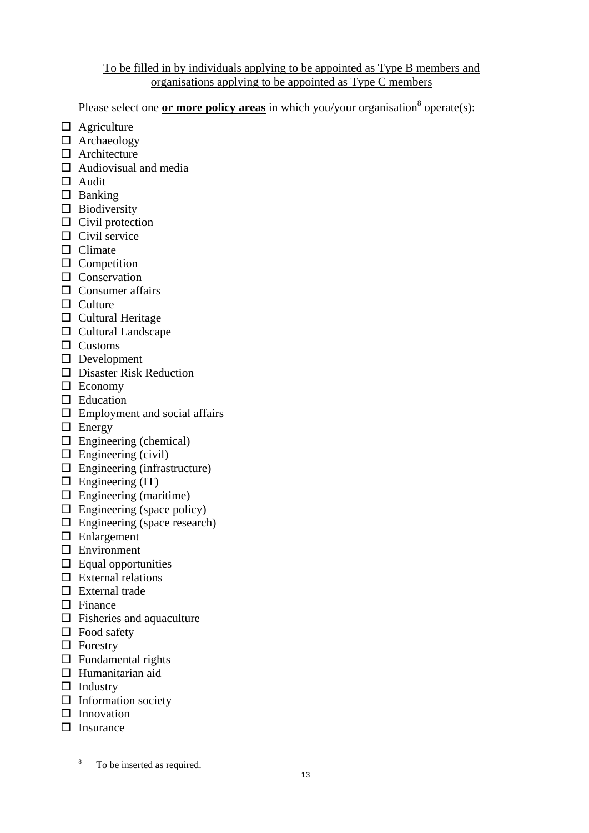### To be filled in by individuals applying to be appointed as Type B members and organisations applying to be appointed as Type C members

Please select one **or more policy areas** in which you/your organisation<sup>8</sup> operate(s):

- $\Box$  Agriculture
- □ Archaeology
- $\Box$  Architecture
- $\Box$  Audiovisual and media
- $\Box$  Audit
- $\Box$  Banking
- $\square$  Biodiversity
- $\Box$  Civil protection
- $\Box$  Civil service
- $\Box$  Climate
- $\square$  Competition
- $\Box$  Conservation
- $\Box$  Consumer affairs
- $\Box$  Culture
- $\Box$  Cultural Heritage
- $\Box$  Cultural Landscape
- $\square$  Customs
- Development
- Disaster Risk Reduction
- $\square$  Economy
- $\Box$  Education
- $\Box$  Employment and social affairs
- $\Box$  Energy
- $\Box$  Engineering (chemical)
- $\Box$  Engineering (civil)
- $\square$  Engineering (infrastructure)
- $\Box$  Engineering (IT)
- $\Box$  Engineering (maritime)
- $\Box$  Engineering (space policy)
- $\Box$  Engineering (space research)
- $\square$  Enlargement
- □ Environment
- $\Box$  Equal opportunities
- $\square$  External relations
- $\Box$  External trade
- $\square$  Finance
- $\Box$  Fisheries and aquaculture
- $\Box$  Food safety
- $\Box$  Forestry
- $\Box$  Fundamental rights
- $\Box$  Humanitarian aid
- $\Box$  Industry
- $\Box$  Information society
- $\Box$  Innovation
- $\Box$  Insurance

 $\overline{8}$ To be inserted as required.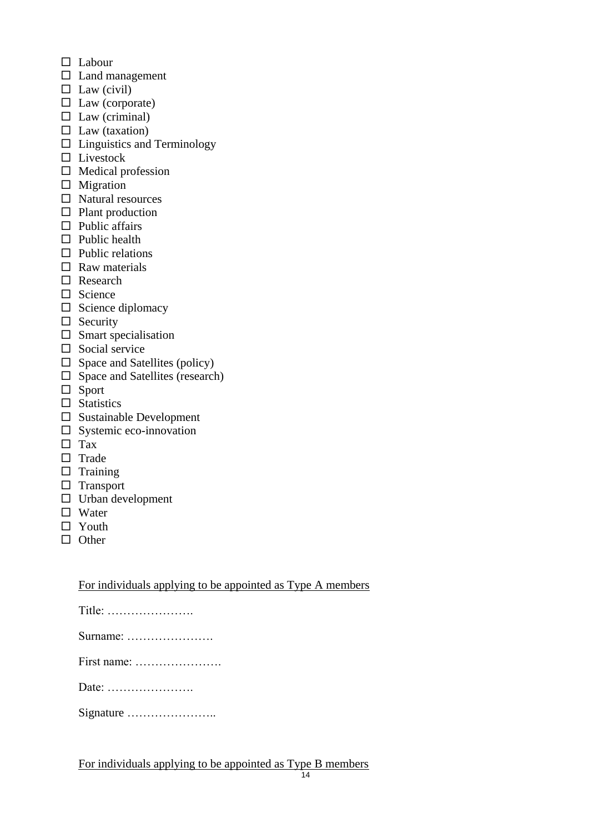- $\Box$  Labour
- $\square$  Land management
- $\Box$  Law (civil)
- $\Box$  Law (corporate)
- $\square$  Law (criminal)
- $\Box$  Law (taxation)
- $\Box$  Linguistics and Terminology
- $\square$  Livestock
- $\Box$  Medical profession
- $\Box$  Migration
- $\Box$  Natural resources
- $\Box$  Plant production
- $\Box$  Public affairs
- $\Box$  Public health
- $\Box$  Public relations
- $\Box$  Raw materials
- Research
- $\Box$  Science
- $\square$  Science diplomacy
- $\Box$  Security
- $\square$  Smart specialisation
- $\Box$  Social service
- $\Box$  Space and Satellites (policy)
- $\Box$  Space and Satellites (research)
- $\Box$  Sport
- $\Box$  Statistics
- $\square$  Sustainable Development
- $\square$  Systemic eco-innovation
- $\Box$  Tax
- $\Box$  Trade
- $\Box$  Training
- $\square$  Transport
- $\Box$  Urban development
- □ Water
- $\Box$  Youth
- $\Box$  Other

For individuals applying to be appointed as Type A members

| Title: |
|--------|
|--------|

Surname: ………………….

First name: ………………….

Date: ………………….

Signature …………………..

For individuals applying to be appointed as Type B members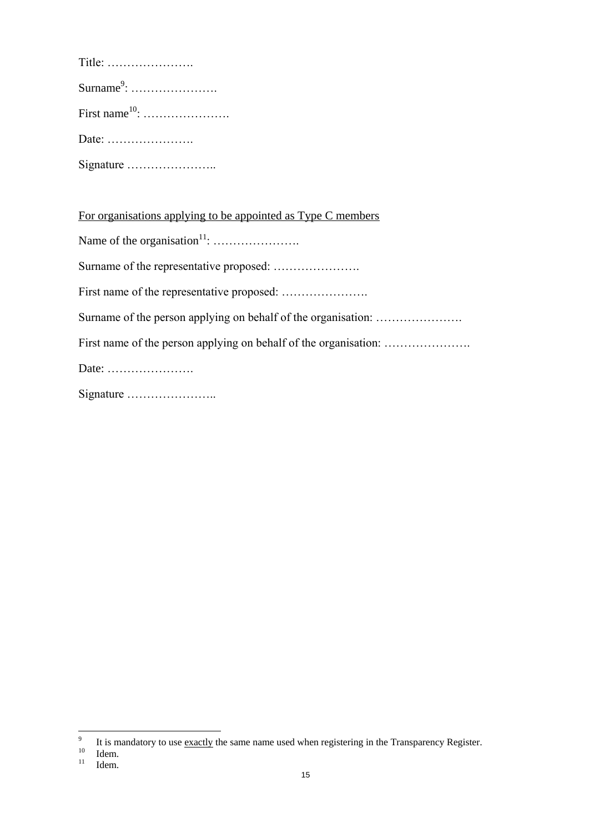| Title: $\dots\dots\dots\dots\dots\dots\dots$ |
|----------------------------------------------|
|                                              |
|                                              |
|                                              |
| Signature                                    |

For organisations applying to be appointed as Type C members Name of the organisation<sup>11</sup>: …………………. Surname of the representative proposed: …………………. First name of the representative proposed: …………………. Surname of the person applying on behalf of the organisation: .................... First name of the person applying on behalf of the organisation: …………………. Date: …………………. Signature …………………..

<sup>-&</sup>lt;br>9 It is mandatory to use exactly the same name used when registering in the Transparency Register.

 $\frac{10}{11}$  Idem.

Idem.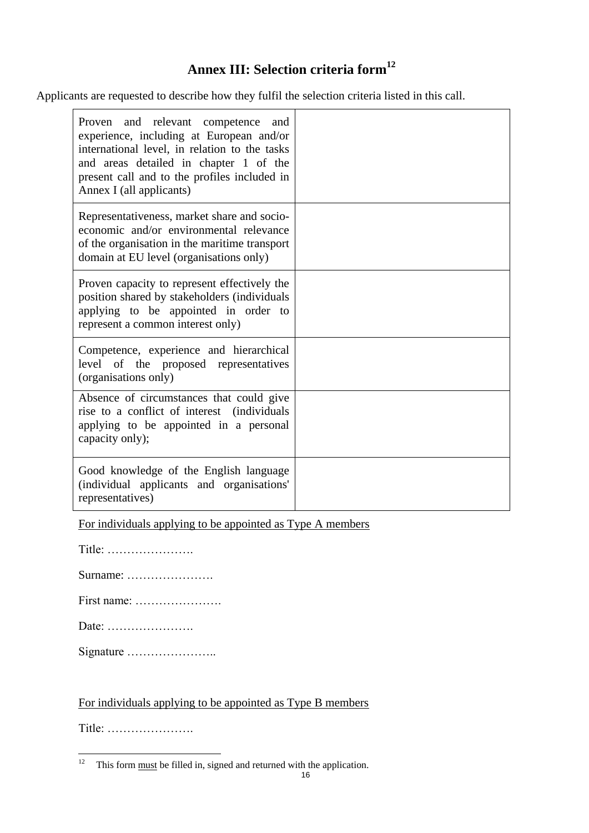# **Annex III: Selection criteria form<sup>12</sup>**

Applicants are requested to describe how they fulfil the selection criteria listed in this call.

| Proven and relevant competence<br>and<br>experience, including at European and/or<br>international level, in relation to the tasks<br>and areas detailed in chapter 1 of the<br>present call and to the profiles included in<br>Annex I (all applicants) |  |
|----------------------------------------------------------------------------------------------------------------------------------------------------------------------------------------------------------------------------------------------------------|--|
| Representativeness, market share and socio-<br>economic and/or environmental relevance<br>of the organisation in the maritime transport<br>domain at EU level (organisations only)                                                                       |  |
| Proven capacity to represent effectively the<br>position shared by stakeholders (individuals<br>applying to be appointed in order to<br>represent a common interest only)                                                                                |  |
| Competence, experience and hierarchical<br>level of the proposed representatives<br>(organisations only)                                                                                                                                                 |  |
| Absence of circumstances that could give<br>rise to a conflict of interest (individuals<br>applying to be appointed in a personal<br>capacity only);                                                                                                     |  |
| Good knowledge of the English language<br>(individual applicants and organisations'<br>representatives)                                                                                                                                                  |  |

For individuals applying to be appointed as Type A members

| Title: |  |  |  |  |  |  |  |  |  |  |  |  |  |  |  |  |  |  |  |  |  |  |  |
|--------|--|--|--|--|--|--|--|--|--|--|--|--|--|--|--|--|--|--|--|--|--|--|--|
|--------|--|--|--|--|--|--|--|--|--|--|--|--|--|--|--|--|--|--|--|--|--|--|--|

Surname: ………………….

First name: ………………….

Date: ………………….

Signature …………………..

For individuals applying to be appointed as Type B members

Title: ………………….

 $\frac{1}{12}$ This form must be filled in, signed and returned with the application.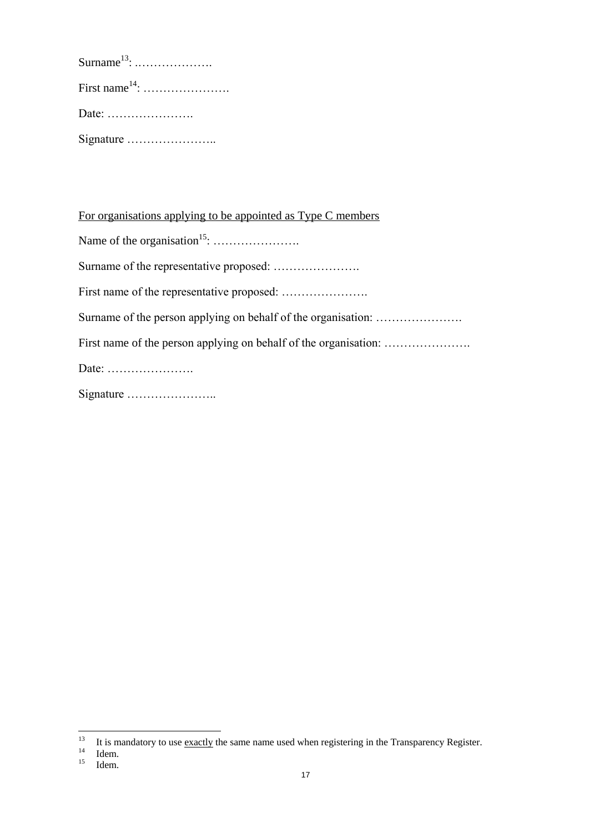For organisations applying to be appointed as Type C members Name of the organisation<sup>15</sup>: …………………. Surname of the representative proposed: …………………. First name of the representative proposed: …………………. Surname of the person applying on behalf of the organisation: .................... First name of the person applying on behalf of the organisation: …………………. Date: …………………. Signature …………………..

 $13$ <sup>13</sup> It is mandatory to use <u>exactly</u> the same name used when registering in the Transparency Register.

 $\frac{14}{15}$  Idem.

Idem.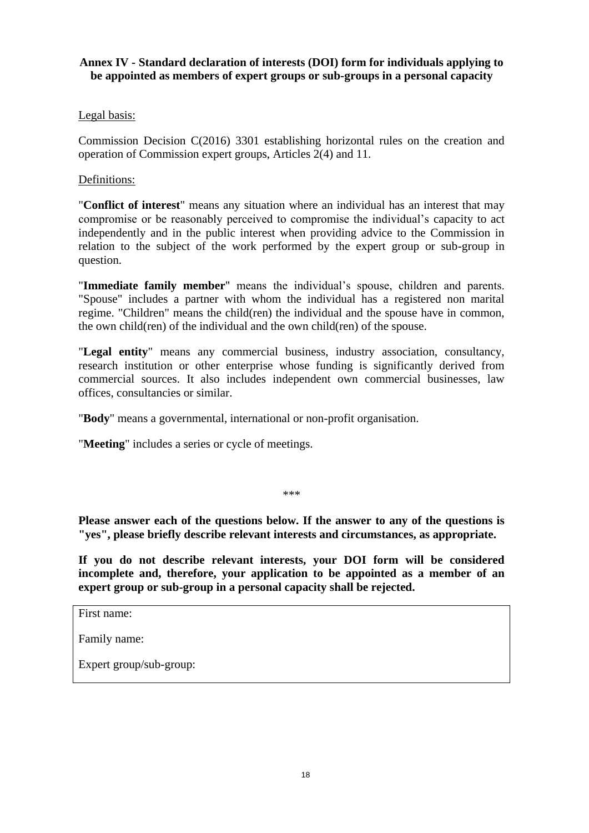## **Annex IV - Standard declaration of interests (DOI) form for individuals applying to be appointed as members of expert groups or sub-groups in a personal capacity**

## Legal basis:

Commission Decision C(2016) 3301 establishing horizontal rules on the creation and operation of Commission expert groups, Articles 2(4) and 11.

### Definitions:

"**Conflict of interest**" means any situation where an individual has an interest that may compromise or be reasonably perceived to compromise the individual's capacity to act independently and in the public interest when providing advice to the Commission in relation to the subject of the work performed by the expert group or sub-group in question.

"**Immediate family member**" means the individual's spouse, children and parents. "Spouse" includes a partner with whom the individual has a registered non marital regime. "Children" means the child(ren) the individual and the spouse have in common, the own child(ren) of the individual and the own child(ren) of the spouse.

"**Legal entity**" means any commercial business, industry association, consultancy, research institution or other enterprise whose funding is significantly derived from commercial sources. It also includes independent own commercial businesses, law offices, consultancies or similar.

"**Body**" means a governmental, international or non-profit organisation.

"**Meeting**" includes a series or cycle of meetings.

\*\*\*

**Please answer each of the questions below. If the answer to any of the questions is "yes", please briefly describe relevant interests and circumstances, as appropriate.** 

**If you do not describe relevant interests, your DOI form will be considered incomplete and, therefore, your application to be appointed as a member of an expert group or sub-group in a personal capacity shall be rejected.**

First name:

Family name:

Expert group/sub-group: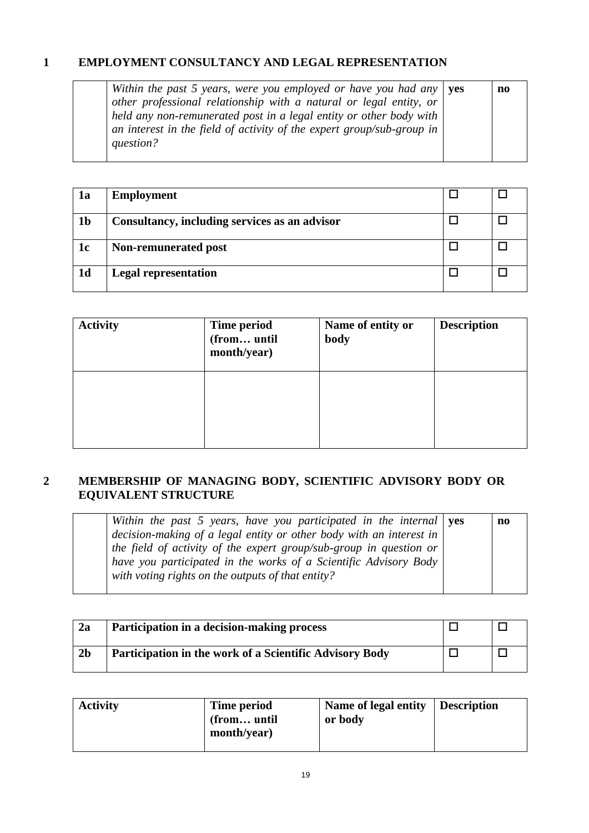# **1 EMPLOYMENT CONSULTANCY AND LEGAL REPRESENTATION**

| Within the past 5 years, were you employed or have you had any $\vert$ yes | no |
|----------------------------------------------------------------------------|----|
| other professional relationship with a natural or legal entity, or         |    |
| held any non-remunerated post in a legal entity or other body with         |    |
| an interest in the field of activity of the expert group/sub-group in      |    |
| question?                                                                  |    |
|                                                                            |    |

| 1a             | <b>Employment</b>                             |  |
|----------------|-----------------------------------------------|--|
| 1 <sub>b</sub> | Consultancy, including services as an advisor |  |
| 1c             | Non-remunerated post                          |  |
| 1 <sub>d</sub> | <b>Legal representation</b>                   |  |

| <b>Activity</b> | <b>Time period</b><br>(from until<br>month/year) | Name of entity or<br>body | <b>Description</b> |
|-----------------|--------------------------------------------------|---------------------------|--------------------|
|                 |                                                  |                           |                    |

# **2 MEMBERSHIP OF MANAGING BODY, SCIENTIFIC ADVISORY BODY OR EQUIVALENT STRUCTURE**

| Within the past 5 years, have you participated in the internal $\gamma$ es | no |
|----------------------------------------------------------------------------|----|
| decision-making of a legal entity or other body with an interest in $ $    |    |
| the field of activity of the expert group/sub-group in question or         |    |
| have you participated in the works of a Scientific Advisory Body           |    |
| with voting rights on the outputs of that entity?                          |    |
|                                                                            |    |

| 2a             | Participation in a decision-making process              |  |
|----------------|---------------------------------------------------------|--|
| 2 <sub>b</sub> | Participation in the work of a Scientific Advisory Body |  |

| <b>Activity</b> | Time period<br>(from until<br>month/year) | Name of legal entity<br>or body | Description |  |
|-----------------|-------------------------------------------|---------------------------------|-------------|--|
|-----------------|-------------------------------------------|---------------------------------|-------------|--|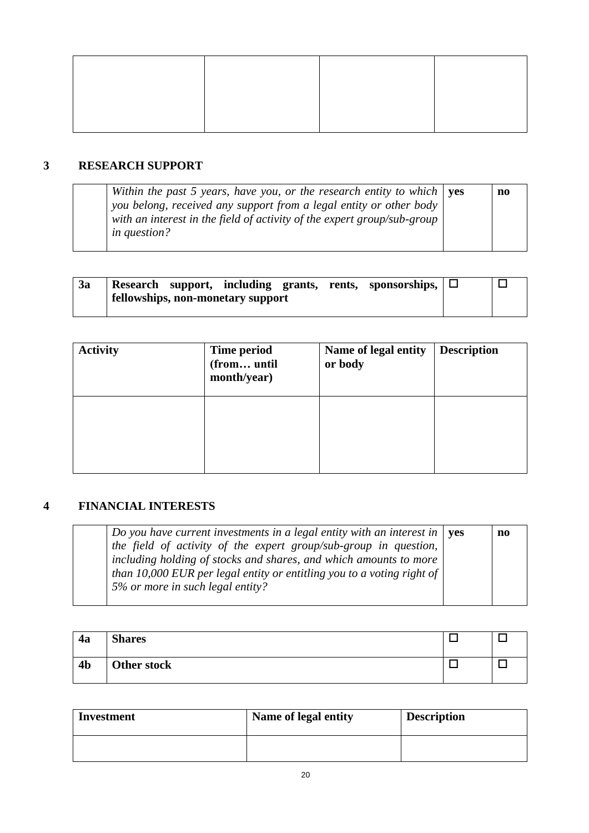### **3 RESEARCH SUPPORT**

| Within the past 5 years, have you, or the research entity to which $\vert$ yes<br>you belong, received any support from a legal entity or other body<br>with an interest in the field of activity of the expert group/sub-group<br><i>in question?</i> |  | n0 |
|--------------------------------------------------------------------------------------------------------------------------------------------------------------------------------------------------------------------------------------------------------|--|----|
|--------------------------------------------------------------------------------------------------------------------------------------------------------------------------------------------------------------------------------------------------------|--|----|

| 3a | Research support, including grants, rents, sponsorships, $\Box$<br>fellowships, non-monetary support |  |
|----|------------------------------------------------------------------------------------------------------|--|
|    |                                                                                                      |  |

| <b>Activity</b> | Time period<br>(from until<br>month/year) | Name of legal entity<br>or body | <b>Description</b> |
|-----------------|-------------------------------------------|---------------------------------|--------------------|
|                 |                                           |                                 |                    |

# **4 FINANCIAL INTERESTS**

| Do you have current investments in a legal entity with an interest in $\vert$ yes | no |
|-----------------------------------------------------------------------------------|----|
| the field of activity of the expert group/sub-group in question,                  |    |
| including holding of stocks and shares, and which amounts to more                 |    |
| than 10,000 EUR per legal entity or entitling you to a voting right of            |    |
| 5% or more in such legal entity?                                                  |    |
|                                                                                   |    |

| 4a             | <b>Shares</b> |  |
|----------------|---------------|--|
| 4 <sub>b</sub> | Other stock   |  |

| <b>Investment</b> | Name of legal entity | <b>Description</b> |
|-------------------|----------------------|--------------------|
|                   |                      |                    |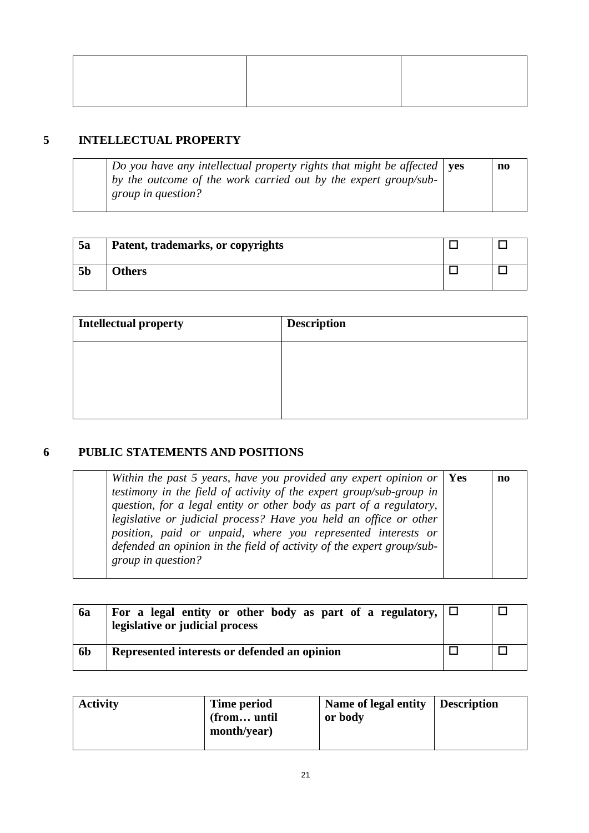# **5 INTELLECTUAL PROPERTY**

*Do you have any intellectual property rights that might be affected by the outcome of the work carried out by the expert group/subgroup in question?*  **yes no**

| 5a             | Patent, trademarks, or copyrights |  |
|----------------|-----------------------------------|--|
| 5 <sub>b</sub> | <b>Others</b>                     |  |

| Intellectual property | <b>Description</b> |
|-----------------------|--------------------|
|                       |                    |
|                       |                    |
|                       |                    |

# **6 PUBLIC STATEMENTS AND POSITIONS**

| Within the past 5 years, have you provided any expert opinion or $ $ Yes | no |
|--------------------------------------------------------------------------|----|
| testimony in the field of activity of the expert group/sub-group in      |    |
| question, for a legal entity or other body as part of a regulatory,      |    |
| legislative or judicial process? Have you held an office or other        |    |
| position, paid or unpaid, where you represented interests or             |    |
| defended an opinion in the field of activity of the expert group/sub-    |    |
| group in question?                                                       |    |
|                                                                          |    |

| 6a             | For a legal entity or other body as part of a regulatory, $\Box$<br>legislative or judicial process |  |
|----------------|-----------------------------------------------------------------------------------------------------|--|
| 6 <sub>b</sub> | Represented interests or defended an opinion                                                        |  |

| <b>Activity</b> | Time period<br>(from until<br>month/year) | Name of legal entity Description<br>or body |  |
|-----------------|-------------------------------------------|---------------------------------------------|--|
|-----------------|-------------------------------------------|---------------------------------------------|--|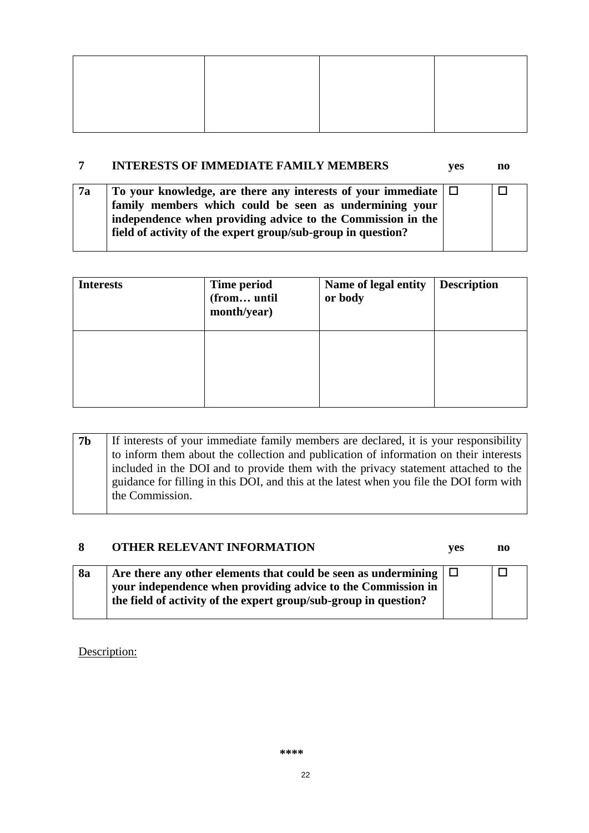### **7 INTERESTS OF IMMEDIATE FAMILY MEMBERS yes no**

| 7a | To your knowledge, are there any interests of your immediate $\Box$ |  |
|----|---------------------------------------------------------------------|--|
|    | family members which could be seen as undermining your              |  |
|    | independence when providing advice to the Commission in the         |  |
|    | field of activity of the expert group/sub-group in question?        |  |
|    |                                                                     |  |

| <b>Interests</b> | Time period<br>(from until<br>month/year) | Name of legal entity<br>or body | <b>Description</b> |
|------------------|-------------------------------------------|---------------------------------|--------------------|
|                  |                                           |                                 |                    |

| to inform them about the collection and publication of information on their interests<br>included in the DOI and to provide them with the privacy statement attached to the<br>guidance for filling in this DOI, and this at the latest when you file the DOI form with<br>the Commission. |
|--------------------------------------------------------------------------------------------------------------------------------------------------------------------------------------------------------------------------------------------------------------------------------------------|
|--------------------------------------------------------------------------------------------------------------------------------------------------------------------------------------------------------------------------------------------------------------------------------------------|

# **8 OTHER RELEVANT INFORMATION yes no**

| <b>8a</b> | Are there any other elements that could be seen as undermining $\Box$ | - Г |
|-----------|-----------------------------------------------------------------------|-----|
|           | your independence when providing advice to the Commission in          |     |
|           | the field of activity of the expert group/sub-group in question?      |     |
|           |                                                                       |     |

Description: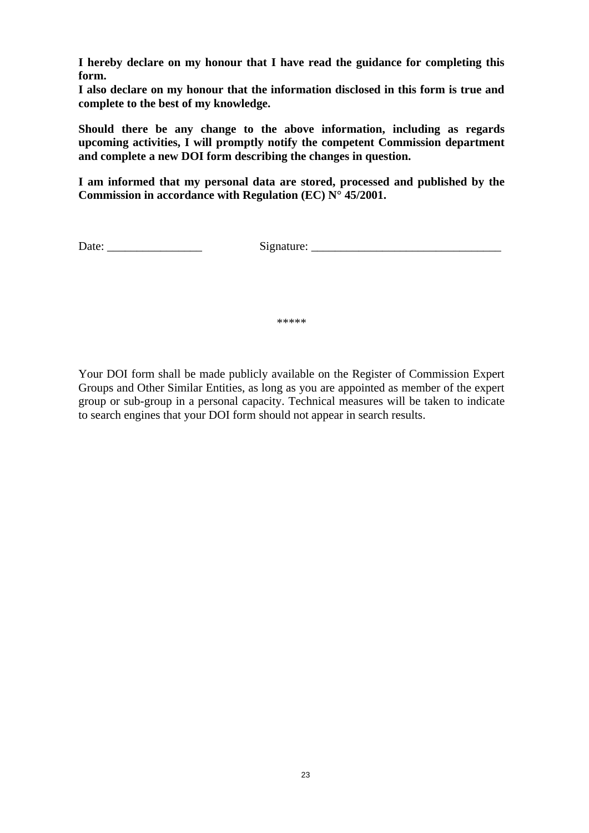**I hereby declare on my honour that I have read the guidance for completing this form.** 

**I also declare on my honour that the information disclosed in this form is true and complete to the best of my knowledge.** 

**Should there be any change to the above information, including as regards upcoming activities, I will promptly notify the competent Commission department and complete a new DOI form describing the changes in question.**

**I am informed that my personal data are stored, processed and published by the Commission in accordance with Regulation (EC) N° 45/2001.**

Date: \_\_\_\_\_\_\_\_\_\_\_\_\_\_\_\_ Signature: \_\_\_\_\_\_\_\_\_\_\_\_\_\_\_\_\_\_\_\_\_\_\_\_\_\_\_\_\_\_\_\_

\*\*\*\*\*

Your DOI form shall be made publicly available on the Register of Commission Expert Groups and Other Similar Entities, as long as you are appointed as member of the expert group or sub-group in a personal capacity. Technical measures will be taken to indicate to search engines that your DOI form should not appear in search results.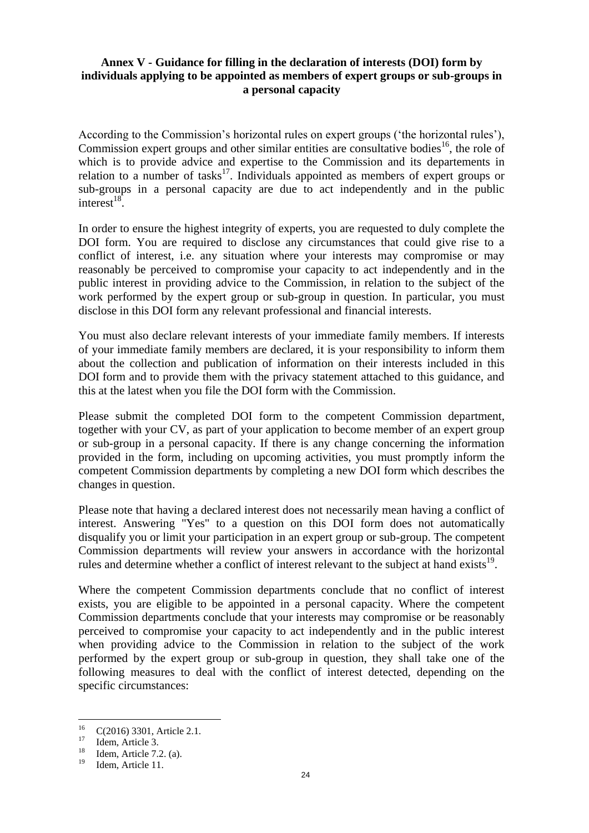### **Annex V - Guidance for filling in the declaration of interests (DOI) form by individuals applying to be appointed as members of expert groups or sub-groups in a personal capacity**

According to the Commission's horizontal rules on expert groups ('the horizontal rules'), Commission expert groups and other similar entities are consultative bodies<sup>16</sup>, the role of which is to provide advice and expertise to the Commission and its departements in relation to a number of tasks<sup>17</sup>. Individuals appointed as members of expert groups or sub-groups in a personal capacity are due to act independently and in the public interest $^{18}$ .

In order to ensure the highest integrity of experts, you are requested to duly complete the DOI form. You are required to disclose any circumstances that could give rise to a conflict of interest, i.e. any situation where your interests may compromise or may reasonably be perceived to compromise your capacity to act independently and in the public interest in providing advice to the Commission, in relation to the subject of the work performed by the expert group or sub-group in question. In particular, you must disclose in this DOI form any relevant professional and financial interests.

You must also declare relevant interests of your immediate family members. If interests of your immediate family members are declared, it is your responsibility to inform them about the collection and publication of information on their interests included in this DOI form and to provide them with the privacy statement attached to this guidance, and this at the latest when you file the DOI form with the Commission.

Please submit the completed DOI form to the competent Commission department, together with your CV, as part of your application to become member of an expert group or sub-group in a personal capacity. If there is any change concerning the information provided in the form, including on upcoming activities, you must promptly inform the competent Commission departments by completing a new DOI form which describes the changes in question.

Please note that having a declared interest does not necessarily mean having a conflict of interest. Answering "Yes" to a question on this DOI form does not automatically disqualify you or limit your participation in an expert group or sub-group. The competent Commission departments will review your answers in accordance with the horizontal rules and determine whether a conflict of interest relevant to the subject at hand exists  $19$ .

Where the competent Commission departments conclude that no conflict of interest exists, you are eligible to be appointed in a personal capacity. Where the competent Commission departments conclude that your interests may compromise or be reasonably perceived to compromise your capacity to act independently and in the public interest when providing advice to the Commission in relation to the subject of the work performed by the expert group or sub-group in question, they shall take one of the following measures to deal with the conflict of interest detected, depending on the specific circumstances:

 $16<sup>16</sup>$  $^{16}$  C(2016) 3301, Article 2.1.

 $17$  Idem, Article 3.

 $18$  Idem, Article 7.2. (a).

Idem, Article 11.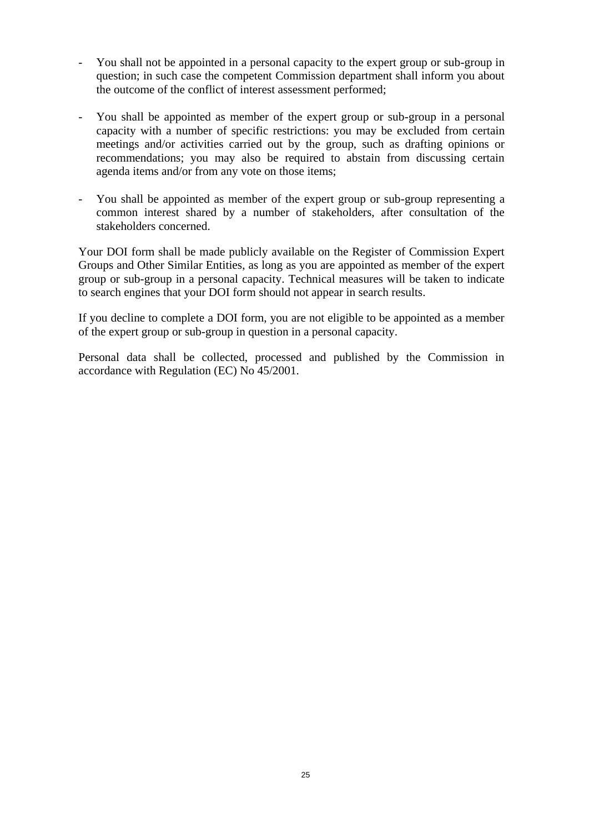- You shall not be appointed in a personal capacity to the expert group or sub-group in question; in such case the competent Commission department shall inform you about the outcome of the conflict of interest assessment performed;
- You shall be appointed as member of the expert group or sub-group in a personal capacity with a number of specific restrictions: you may be excluded from certain meetings and/or activities carried out by the group, such as drafting opinions or recommendations; you may also be required to abstain from discussing certain agenda items and/or from any vote on those items;
- You shall be appointed as member of the expert group or sub-group representing a common interest shared by a number of stakeholders, after consultation of the stakeholders concerned.

Your DOI form shall be made publicly available on the Register of Commission Expert Groups and Other Similar Entities, as long as you are appointed as member of the expert group or sub-group in a personal capacity. Technical measures will be taken to indicate to search engines that your DOI form should not appear in search results.

If you decline to complete a DOI form, you are not eligible to be appointed as a member of the expert group or sub-group in question in a personal capacity.

Personal data shall be collected, processed and published by the Commission in accordance with Regulation (EC) No 45/2001.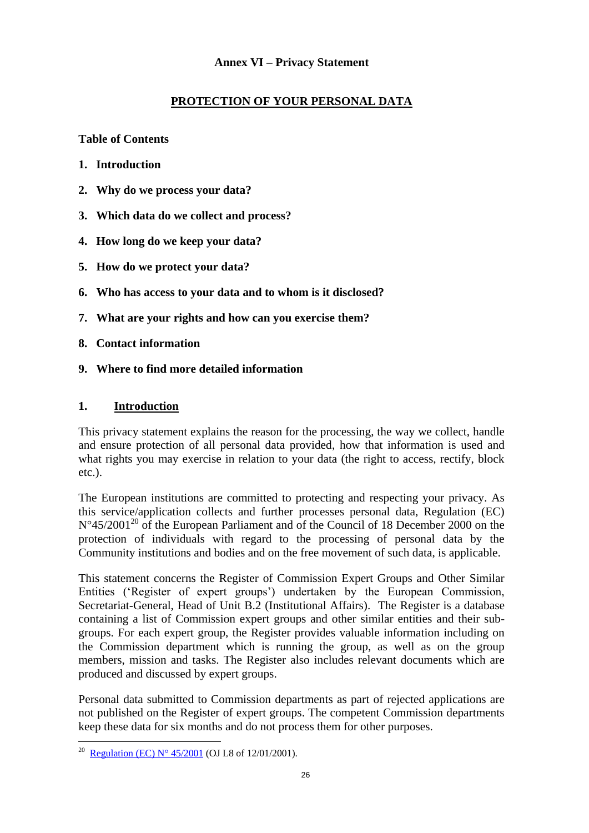## **Annex VI – Privacy Statement**

# **PROTECTION OF YOUR PERSONAL DATA**

**Table of Contents**

- **1. Introduction**
- **2. Why do we process your data?**
- **3. Which data do we collect and process?**
- **4. How long do we keep your data?**
- **5. How do we protect your data?**
- **6. Who has access to your data and to whom is it disclosed?**
- **7. What are your rights and how can you exercise them?**
- **8. Contact information**
- **9. Where to find more detailed information**

### **1. Introduction**

This privacy statement explains the reason for the processing, the way we collect, handle and ensure protection of all personal data provided, how that information is used and what rights you may exercise in relation to your data (the right to access, rectify, block etc.).

The European institutions are committed to protecting and respecting your privacy. As this service/application collects and further processes personal data, Regulation (EC)  $N^{\circ}45/2001^{20}$  of the European Parliament and of the Council of 18 December 2000 on the protection of individuals with regard to the processing of personal data by the Community institutions and bodies and on the free movement of such data, is applicable.

This statement concerns the Register of Commission Expert Groups and Other Similar Entities ('Register of expert groups') undertaken by the European Commission, Secretariat-General, Head of Unit B.2 (Institutional Affairs). The Register is a database containing a list of Commission expert groups and other similar entities and their subgroups. For each expert group, the Register provides valuable information including on the Commission department which is running the group, as well as on the group members, mission and tasks. The Register also includes relevant documents which are produced and discussed by expert groups.

Personal data submitted to Commission departments as part of rejected applications are not published on the Register of expert groups. The competent Commission departments keep these data for six months and do not process them for other purposes.

 $\overline{a}$ 

<sup>20</sup> [Regulation \(EC\) N° 45/2001](http://eur-lex.europa.eu/legal-content/EN/ALL/?uri=CELEX:32001R0045) (OJ L8 of 12/01/2001).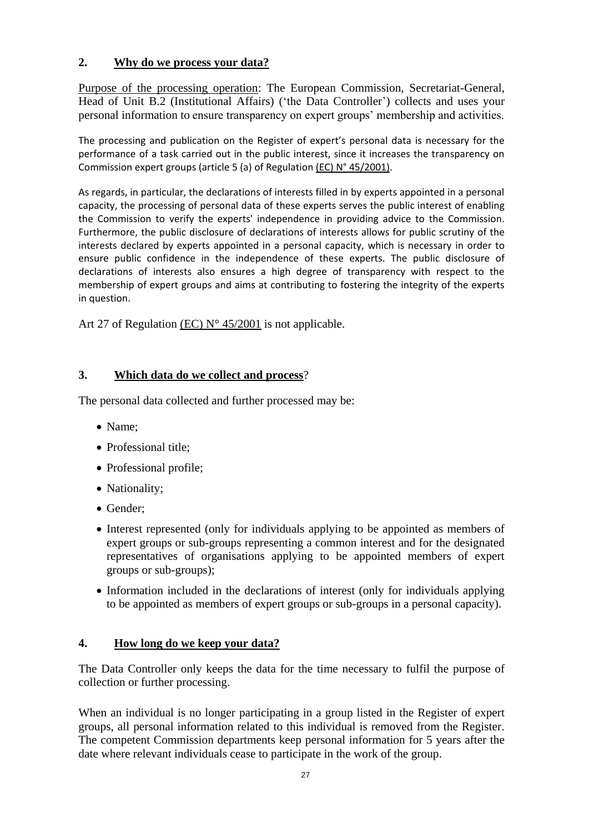# **2. Why do we process your data?**

Purpose of the processing operation: The European Commission, Secretariat-General, Head of Unit B.2 (Institutional Affairs) ('the Data Controller') collects and uses your personal information to ensure transparency on expert groups' membership and activities.

The processing and publication on the Register of expert's personal data is necessary for the performance of a task carried out in the public interest, since it increases the transparency on Commission expert groups (article 5 (a) of Regulation (EC) N° 45/2001).

As regards, in particular, the declarations of interests filled in by experts appointed in a personal capacity, the processing of personal data of these experts serves the public interest of enabling the Commission to verify the experts' independence in providing advice to the Commission. Furthermore, the public disclosure of declarations of interests allows for public scrutiny of the interests declared by experts appointed in a personal capacity, which is necessary in order to ensure public confidence in the independence of these experts. The public disclosure of declarations of interests also ensures a high degree of transparency with respect to the membership of expert groups and aims at contributing to fostering the integrity of the experts in question.

Art 27 of Regulation (EC) N° 45/2001 is not applicable.

# **3. Which data do we collect and process**?

The personal data collected and further processed may be:

- Name;
- Professional title:
- Professional profile;
- Nationality;
- Gender:
- Interest represented (only for individuals applying to be appointed as members of expert groups or sub-groups representing a common interest and for the designated representatives of organisations applying to be appointed members of expert groups or sub-groups);
- Information included in the declarations of interest (only for individuals applying to be appointed as members of expert groups or sub-groups in a personal capacity).

## **4. How long do we keep your data?**

The Data Controller only keeps the data for the time necessary to fulfil the purpose of collection or further processing.

When an individual is no longer participating in a group listed in the Register of expert groups, all personal information related to this individual is removed from the Register. The competent Commission departments keep personal information for 5 years after the date where relevant individuals cease to participate in the work of the group.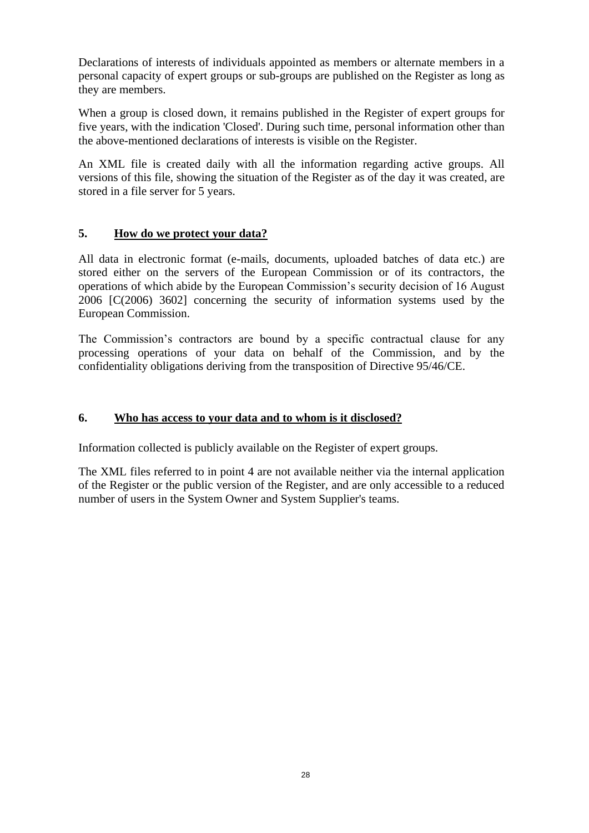Declarations of interests of individuals appointed as members or alternate members in a personal capacity of expert groups or sub-groups are published on the Register as long as they are members.

When a group is closed down, it remains published in the Register of expert groups for five years, with the indication 'Closed'. During such time, personal information other than the above-mentioned declarations of interests is visible on the Register.

An XML file is created daily with all the information regarding active groups. All versions of this file, showing the situation of the Register as of the day it was created, are stored in a file server for 5 years.

## **5. How do we protect your data?**

All data in electronic format (e-mails, documents, uploaded batches of data etc.) are stored either on the servers of the European Commission or of its contractors, the operations of which abide by the European Commission's security decision of 16 August 2006 [C(2006) 3602] concerning the security of information systems used by the European Commission.

The Commission's contractors are bound by a specific contractual clause for any processing operations of your data on behalf of the Commission, and by the confidentiality obligations deriving from the transposition of Directive 95/46/CE.

# **6. Who has access to your data and to whom is it disclosed?**

Information collected is publicly available on the Register of expert groups.

The XML files referred to in point 4 are not available neither via the internal application of the Register or the public version of the Register, and are only accessible to a reduced number of users in the System Owner and System Supplier's teams.